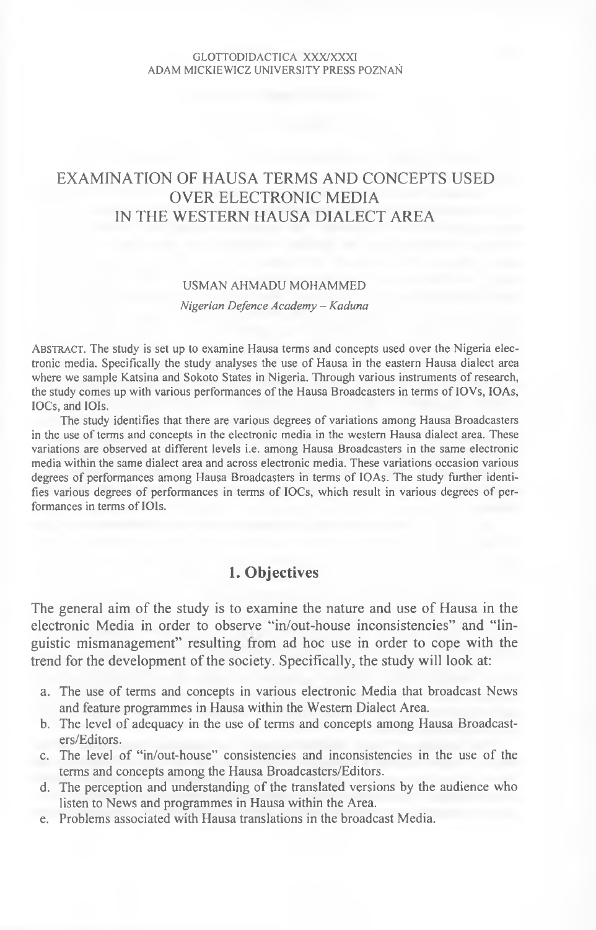#### GLOTTODIDACTICA XXX/XXXI ADAM MICKIEWICZ UNIVERSITY PRESS POZNAŃ

# EXAMINATION OF HAUSA TERMS AND CONCEPTS USED OVER ELECTRONIC MEDIA IN THE WESTERN HAUSA DIALECT AREA

#### **USMAN AHMADU MOHAMMED**

*Nigerian Defence Academy - Kaduna*

Abstract. **The study is set up to examine Hausa terms and concepts used over the Nigeria elec**tronic media. Specifically the study analyses the use of Hausa in the eastern Hausa dialect area where we sample Katsina and Sokoto States in Nigeria. Through various instruments of research, the study comes up with various performances of the Hausa Broadcasters in terms of IOVs, IOAs, **lOCs, and IOIs.**

The study identifies that there are various degrees of variations among Hausa Broadcasters in the use of terms and concepts in the electronic media in the western Hausa dialect area. These **variations are observed at different levels i.e. among Hausa Broadcasters in the same electronic media within the same dialect area and across electronic media. These variations occasion various** degrees of performances among Hausa Broadcasters in terms of IOAs. The study further identifies various degrees of performances in terms of **IOCs**, which result in various degrees of performances in terms of **IOIs**.

### **1. Objectives**

The general aim of the study is to examine the nature and use of Hausa in the electronic Media in order to observe "in/out-house inconsistencies" and "linguistic mismanagement" resulting from ad hoc use in order to cope with the trend for the development of the society. Specifically, the study will look at:

- a. The use of terms and concepts in various electronic Media that broadcast News and feature programmes in Hausa within the Western Dialect Area.
- b. The level of adequacy in the use of terms and concepts among Hausa Broadcasters/Editors.
- c. The level of "in/out-house" consistencies and inconsistencies in the use of the terms and concepts among the Hausa Broadcasters/Editors.
- d. The perception and understanding of the translated versions by the audience who listen to News and programmes in Hausa within the Area.
- e. Problems associated with Hausa translations in the broadcast Media.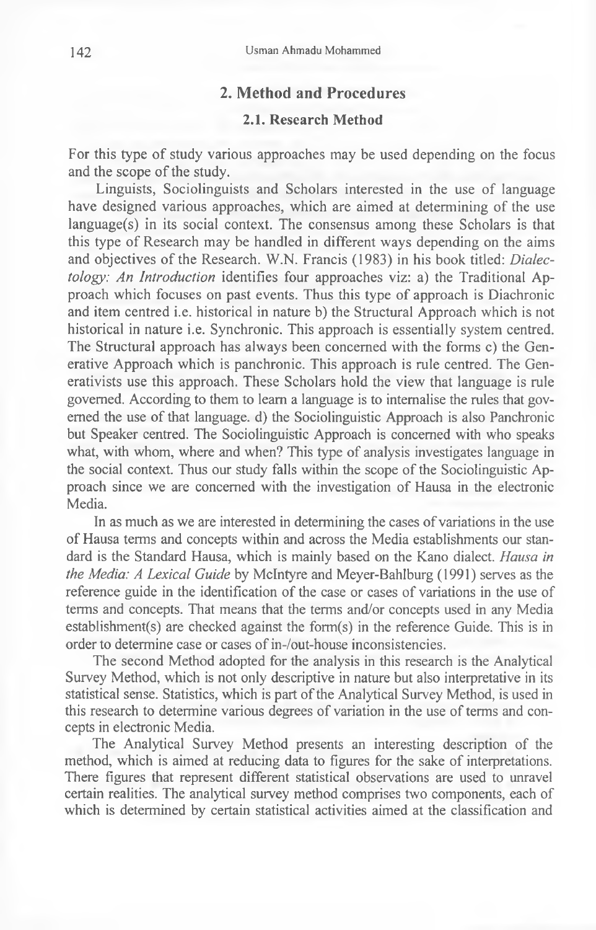### **2. Method and Procedures**

### **2.1. Research Method**

For this type of study various approaches may be used depending on the focus and the scope of the study.

Linguists, Sociolinguists and Scholars interested in the use of language have designed various approaches, which are aimed at determining of the use language(s) in its social context. The consensus among these Scholars is that this type of Research may be handled in different ways depending on the aims and objectives of the Research. W.N. Francis (1983) in his book titled: *Dialectology: An Introduction* identifies four approaches viz: a) the Traditional Approach which focuses on past events. Thus this type of approach is Diachronic and item centred i.e. historical in nature b) the Structural Approach which is not historical in nature i.e. Synchronic. This approach is essentially system centred. The Structural approach has always been concerned with the forms c) the Generative Approach which is panchronic. This approach is rule centred. The Generativists use this approach. These Scholars hold the view that language is rule governed. According to them to learn a language is to internalise the rules that governed the use of that language, d) the Sociolinguistic Approach is also Panchronic but Speaker centred. The Sociolinguistic Approach is concerned with who speaks what, with whom, where and when? This type of analysis investigates language in the social context. Thus our study falls within the scope of the Sociolinguistic Approach since we are concerned with the investigation of Hausa in the electronic Media.

In as much as we are interested in determining the cases of variations in the use of Hausa terms and concepts within and across the Media establishments our standard is the Standard Hausa, which is mainly based on the Kano dialect. *Hausa in the Media: A Lexical Guide* by McIntyre and Meyer-Bahlburg (1991) serves as the reference guide in the identification of the case or cases of variations in the use of terms and concepts. That means that the terms and/or concepts used in any Media establishment(s) are checked against the form(s) in the reference Guide. This is in order to determine case or cases of in-/out-house inconsistencies.

The second Method adopted for the analysis in this research is the Analytical Survey Method, which is not only descriptive in nature but also interpretative in its statistical sense. Statistics, which is part of the Analytical Survey Method, is used in this research to determine various degrees of variation in the use of terms and concepts in electronic Media.

The Analytical Survey Method presents an interesting description of the method, which is aimed at reducing data to figures for the sake of interpretations. There figures that represent different statistical observations are used to unravel certain realities. The analytical survey method comprises two components, each of which is determined by certain statistical activities aimed at the classification and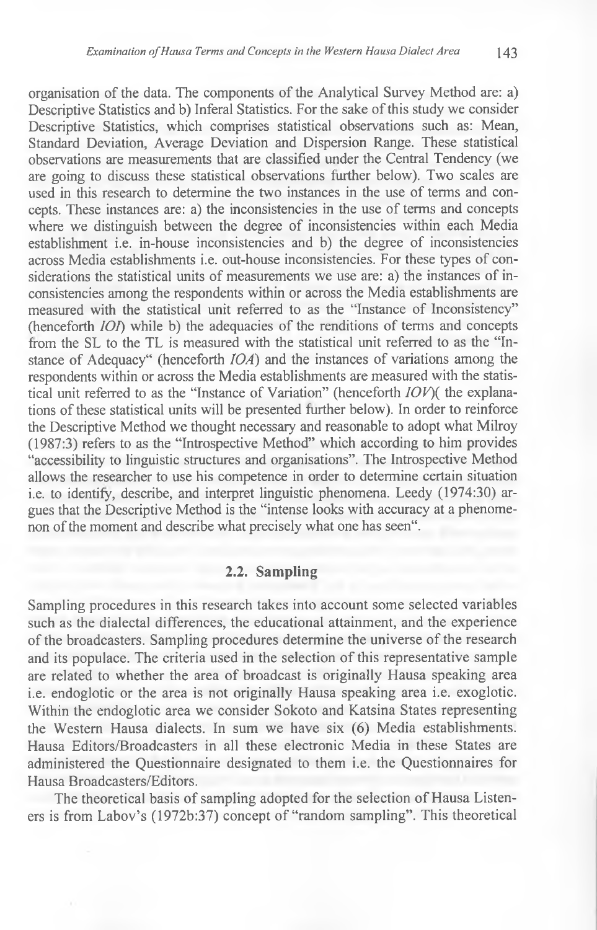organisation of the data. The components of the Analytical Survey Method are: a) Descriptive Statistics and b) Inferal Statistics. For the sake of this study we consider Descriptive Statistics, which comprises statistical observations such as: Mean, Standard Deviation, Average Deviation and Dispersion Range. These statistical observations are measurements that are classified under the Central Tendency (we are going to discuss these statistical observations further below). Two scales are used in this research to determine the two instances in the use of terms and concepts. These instances are: a) the inconsistencies in the use of terms and concepts where we distinguish between the degree of inconsistencies within each Media establishment i.e. in-house inconsistencies and b) the degree of inconsistencies across Media establishments i.e. out-house inconsistencies. For these types of considerations the statistical units of measurements we use are: a) the instances of inconsistencies among the respondents within or across the Media establishments are measured with the statistical unit referred to as the "Instance of Inconsistency" (henceforth *IOI)* while b) the adequacies of the renditions of terms and concepts from the SL to the TL is measured with the statistical unit referred to as the "Instance of Adequacy" (henceforth *10A)* and the instances of variations among the respondents within or across the Media establishments are measured with the statistical unit referred to as the "Instance of Variation" (henceforth *JOV)(* the explanations of these statistical units will be presented further below). In order to reinforce the Descriptive Method we thought necessary and reasonable to adopt what Milroy (1987:3) refers to as the "Introspective Method" which according to him provides "accessibility to linguistic structures and organisations". The Introspective Method allows the researcher to use his competence in order to determine certain situation i.e. to identify, describe, and interpret linguistic phenomena. Leedy (1974:30) argues that the Descriptive Method is the "intense looks with accuracy at a phenomenon of the moment and describe what precisely what one has seen".

#### **2.2. Sampling**

Sampling procedures in this research takes into account some selected variables such as the dialectal differences, the educational attainment, and the experience of the broadcasters. Sampling procedures determine the universe of the research and its populace. The criteria used in the selection of this representative sample are related to whether the area of broadcast is originally Hausa speaking area i.e. endoglotic or the area is not originally Hausa speaking area i.e. exoglotic. Within the endoglotic area we consider Sokoto and Katsina States representing the Western Hausa dialects. In sum we have six (6) Media establishments. Hausa Editors/Broadcasters in all these electronic Media in these States are administered the Questionnaire designated to them i.e. the Questionnaires for Hausa Broadcasters/Editors.

The theoretical basis of sampling adopted for the selection of Hausa Listeners is from Labov's (1972b:37) concept of "random sampling". This theoretical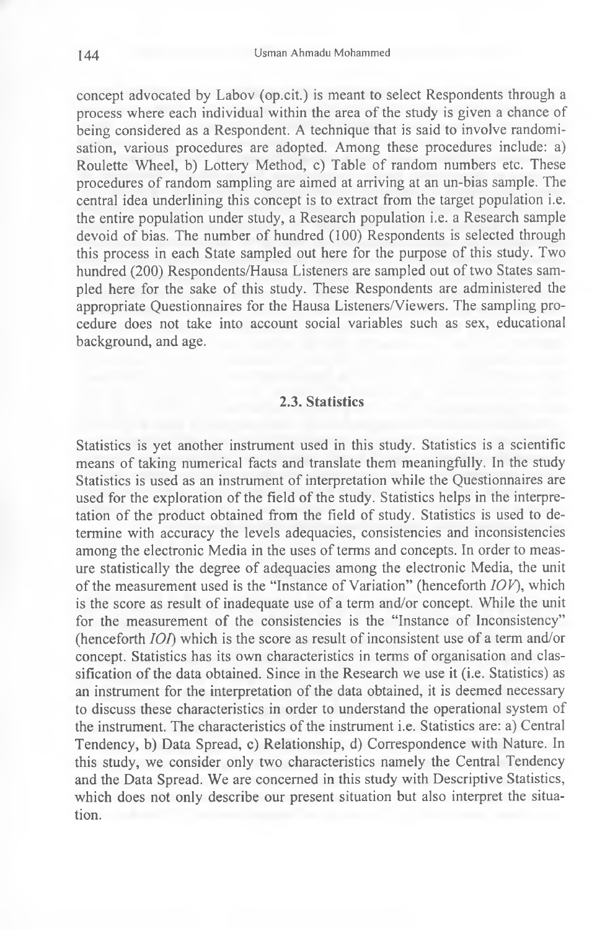concept advocated by Labov (op.cit.) is meant to select Respondents through a process where each individual within the area of the study is given a chance of being considered as a Respondent. A technique that is said to involve randomisation, various procedures are adopted. Among these procedures include: a) Roulette Wheel, b) Lottery Method, c) Table of random numbers etc. These procedures of random sampling are aimed at arriving at an un-bias sample. The central idea underlining this concept is to extract from the target population i.e. the entire population under study, a Research population i.e. a Research sample devoid of bias. The number of hundred (100) Respondents is selected through this process in each State sampled out here for the purpose of this study. Two hundred (200) Respondents/Hausa Listeners are sampled out of two States sampled here for the sake of this study. These Respondents are administered the appropriate Questionnaires for the Hausa Listeners/Viewers. The sampling procedure does not take into account social variables such as sex, educational background, and age.

### **2.3. Statistics**

Statistics is yet another instrument used in this study. Statistics is a scientific means of taking numerical facts and translate them meaningfully. In the study Statistics is used as an instrument of interpretation while the Questionnaires are used for the exploration of the field of the study. Statistics helps in the interpretation of the product obtained from the field of study. Statistics is used to determine with accuracy the levels adequacies, consistencies and inconsistencies among the electronic Media in the uses of terms and concepts. In order to measure statistically the degree of adequacies among the electronic Media, the unit of the measurement used is the "Instance of Variation" (henceforth *IOV),* which is the score as result of inadequate use of a term and/or concept. While the unit for the measurement of the consistencies is the "Instance of Inconsistency" (henceforth *101)* which is the score as result of inconsistent use of a term and/or concept. Statistics has its own characteristics in terms of organisation and classification of the data obtained. Since in the Research we use it (i.e. Statistics) as an instrument for the interpretation of the data obtained, it is deemed necessary to discuss these characteristics in order to understand the operational system of the instrument. The characteristics of the instrument i.e. Statistics are: a) Central Tendency, b) Data Spread, c) Relationship, d) Correspondence with Nature. In this study, we consider only two characteristics namely the Central Tendency and the Data Spread. We are concerned in this study with Descriptive Statistics, which does not only describe our present situation but also interpret the situation.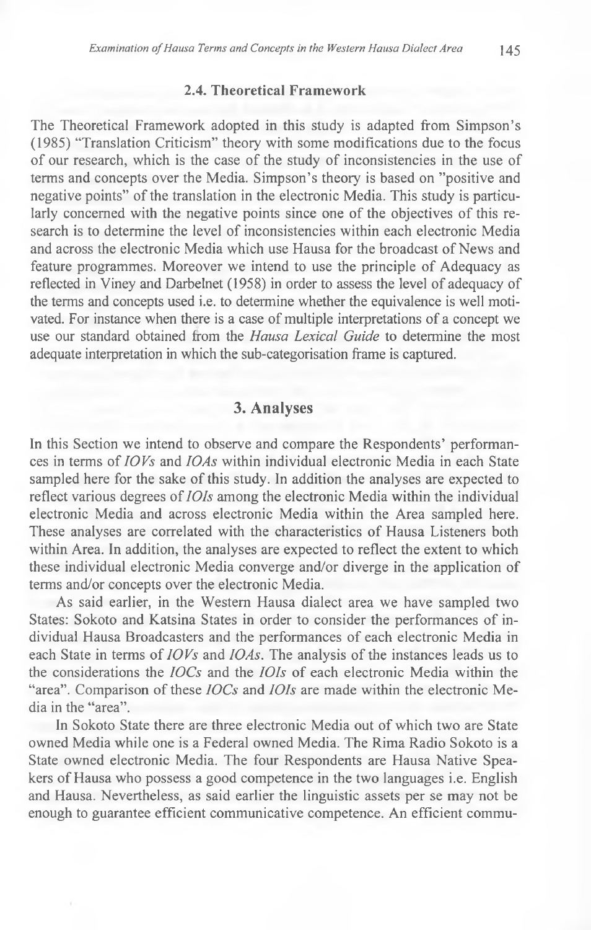### **2.4. Theoretical Framework**

The Theoretical Framework adopted in this study is adapted from Simpson's (1985) "Translation Criticism" theory with some modifications due to the focus of our research, which is the case of the study of inconsistencies in the use of terms and concepts over the Media. Simpson's theory is based on ''positive and negative points" of the translation in the electronic Media. This study is particularly concerned with the negative points since one of the objectives of this research is to determine the level of inconsistencies within each electronic Media and across the electronic Media which use Hausa for the broadcast of News and feature programmes. Moreover we intend to use the principle of Adequacy as reflected in Viney and Darbelnet (1958) in order to assess the level of adequacy of the terms and concepts used i.e. to determine whether the equivalence is well motivated. For instance when there is a case of multiple interpretations of a concept we use our standard obtained from the *Hausa Lexical Guide* to determine the most adequate interpretation in which the sub-categorisation frame is captured.

## **3. Analyses**

In this Section we intend to observe and compare the Respondents' performances in terms of *10 Vs* and *10As* within individual electronic Media in each State sampled here for the sake of this study. In addition the analyses are expected to reflect various degrees of *lOIs* among the electronic Media within the individual electronic Media and across electronic Media within the Area sampled here. These analyses are correlated with the characteristics of Hausa Listeners both within Area. In addition, the analyses are expected to reflect the extent to which these individual electronic Media converge and/or diverge in the application of terms and/or concepts over the electronic Media.

As said earlier, in the Western Hausa dialect area we have sampled two States: Sokoto and Katsina States in order to consider the performances of individual Hausa Broadcasters and the performances of each electronic Media in each State in terms of *10 Vs* and *10As.* The analysis of the instances leads us to the considerations the *IOCs* and the *lOIs* of each electronic Media within the "area". Comparison of these *IOCs* and *IOIs* are made within the electronic Media in the "area".

In Sokoto State there are three electronic Media out of which two are State owned Media while one is a Federal owned Media. The Rima Radio Sokoto is a State owned electronic Media. The four Respondents are Hausa Native Speakers of Hausa who possess a good competence in the two languages i.e. English and Hausa. Nevertheless, as said earlier the linguistic assets per se may not be enough to guarantee efficient communicative competence. An efficient commu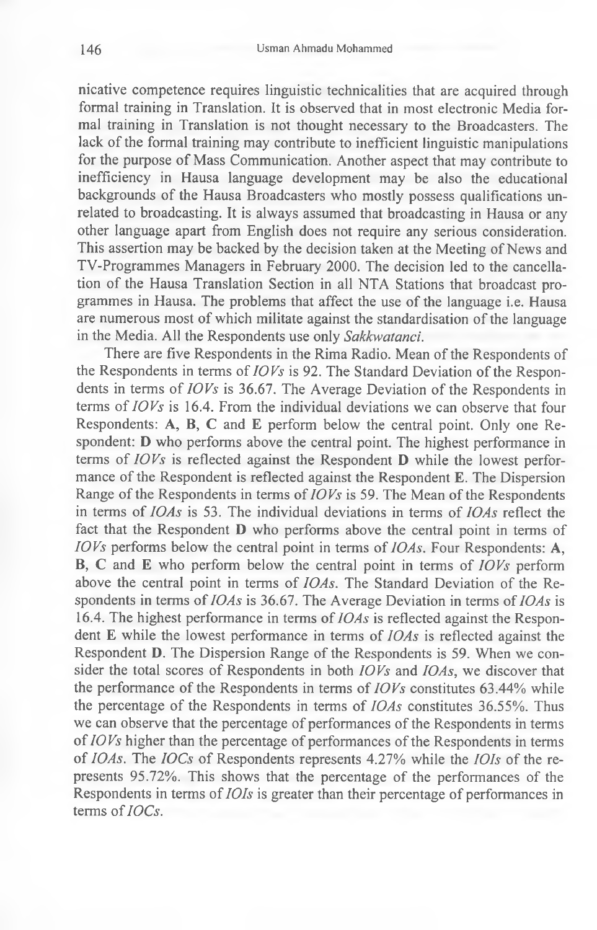nicative competence requires linguistic technicalities that are acquired through formal training in Translation. It is observed that in most electronic Media formal training in Translation is not thought necessary to the Broadcasters. The lack of the formal training may contribute to inefficient linguistic manipulations for the purpose of Mass Communication. Another aspect that may contribute to inefficiency in Hausa language development may be also the educational backgrounds of the Hausa Broadcasters who mostly possess qualifications unrelated to broadcasting. It is always assumed that broadcasting in Hausa or any other language apart from English does not require any serious consideration. This assertion may be backed by the decision taken at the Meeting of News and TV-Programmes Managers in February 2000. The decision led to the cancellation of the Hausa Translation Section in all NTA Stations that broadcast programmes in Hausa. The problems that affect the use of the language i.e. Hausa are numerous most of which militate against the standardisation of the language in the Media. All the Respondents use only *Sakkwatanci.*

There are five Respondents in the Rima Radio. Mean of the Respondents of the Respondents in terms of *IOVs* is 92. The Standard Deviation of the Respondents in terms of *IOVs* is 36.67. The Average Deviation of the Respondents in terms of *IOVs* is 16.4. From the individual deviations we can observe that four Respondents: A, B, C and E perform below the central point. Only one Respondent: D who performs above the central point. The highest performance in terms of *IOVs* is reflected against the Respondent D while the lowest performance of the Respondent is reflected against the Respondent E. The Dispersion Range of the Respondents in terms of *IOVs* is 59. The Mean of the Respondents in terms of *10As* is 53. The individual deviations in terms of *IOAs* reflect the fact that the Respondent D who performs above the central point in terms of *IOVs* performs below the central point in terms of *IOAs.* Four Respondents: A, B, C and E who perform below the central point in terms of *IOVs* perform above the central point in terms of *IOAs.* The Standard Deviation of the Respondents in terms of *IOAs* is 36.67. The Average Deviation in terms of *IOAs* is 16.4. The highest performance in terms of *IOAs* is reflected against the Respondent E while the lowest performance in terms of *IOAs* is reflected against the Respondent D. The Dispersion Range of the Respondents is 59. When we consider the total scores of Respondents in both *IOVs* and *IOAs,* we discover that the performance of the Respondents in terms of *IOVs* constitutes 63.44% while the percentage of the Respondents in terms of *IOAs* constitutes 36.55%. Thus we can observe that the percentage of performances of the Respondents in terms of *10 Vs* higher than the percentage of performances of the Respondents in terms of *IOAs.* The *IOCs* of Respondents represents 4.27% while the *IOIs* of the represents 95.72%. This shows that the percentage of the performances of the Respondents in terms of *IOIs* is greater than their percentage of performances in terms of *IOCs.*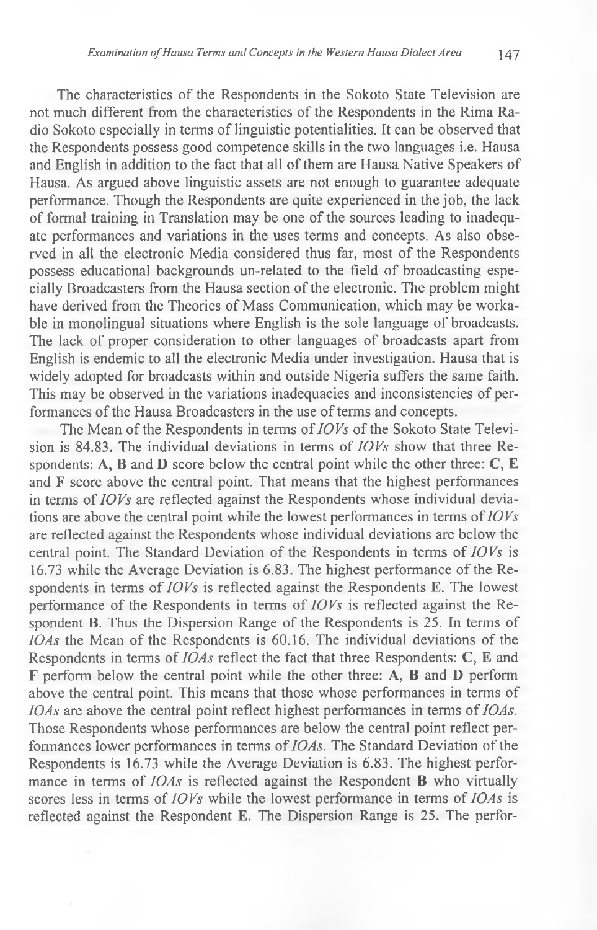The characteristics of the Respondents in the Sokoto State Television are not much different from the characteristics of the Respondents in the Rima Radio Sokoto especially in terms of linguistic potentialities. It can be observed that the Respondents possess good competence skills in the two languages i.e. Hausa and English in addition to the fact that all of them are Hausa Native Speakers of Hausa. As argued above linguistic assets are not enough to guarantee adequate performance. Though the Respondents are quite experienced in the job, the lack of formal training in Translation may be one of the sources leading to inadequate performances and variations in the uses terms and concepts. As also observed in all the electronic Media considered thus far, most of the Respondents possess educational backgrounds un-related to the field of broadcasting especially Broadcasters from the Hausa section of the electronic. The problem might have derived from the Theories of Mass Communication, which may be workable in monolingual situations where English is the sole language of broadcasts. The lack of proper consideration to other languages of broadcasts apart from English is endemic to all the electronic Media under investigation. Hausa that is widely adopted for broadcasts within and outside Nigeria suffers the same faith. This may be observed in the variations inadequacies and inconsistencies of performances of the Hausa Broadcasters in the use of terms and concepts.

The Mean of the Respondents in terms of *10 Vs* of the Sokoto State Television is 84.83. The individual deviations in terms of *IOVs* show that three Respondents: A, B and D score below the central point while the other three:  $C$ ,  $E$ and F score above the central point. That means that the highest performances in terms of *IOVs* are reflected against the Respondents whose individual deviations are above the central point while the lowest performances in terms of *IOVs* are reflected against the Respondents whose individual deviations are below the central point. The Standard Deviation of the Respondents in terms of *IOVs* is 16.73 while the Average Deviation is 6.83. The highest performance of the Respondents in terms of *IOVs* is reflected against the Respondents E. The lowest performance of the Respondents in terms of *IOVs* is reflected against the Respondent **B**. Thus the Dispersion Range of the Respondents is 25. In terms of *IOAs* the Mean of the Respondents is 60.16. The individual deviations of the Respondents in terms of *IOAs* reflect the fact that three Respondents: C, E and F perform below the central point while the other three: A, B and D perform above the central point. This means that those whose performances in terms of *IOAs* are above the central point reflect highest performances in terms of *IOAs.* Those Respondents whose performances are below the central point reflect performances lower performances in terms of *IOAs.* The Standard Deviation of the Respondents is 16.73 while the Average Deviation is 6.83. The highest performance in terms of *IOAs* is reflected against the Respondent **B** who virtually scores less in terms of *IOVs* while the lowest performance in terms of *IOAs* is reflected against the Respondent E. The Dispersion Range is 25. The perfor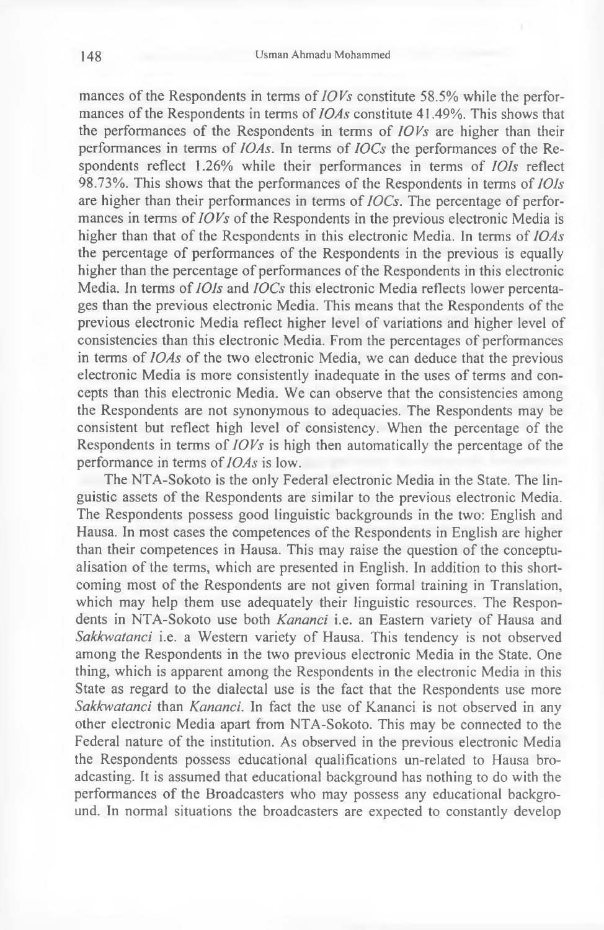mances of the Respondents in terms of *IOVs* constitute 58.5% while the performances of the Respondents in terms of *IOAs* constitute 41.49%. This shows that the performances of the Respondents in terms of *IOVs* are higher than their performances in terms of *10As.* In terms of *IOCs* the performances of the Respondents reflect 1.26% while their performances in terms of 101*s* reflect 98.73%. This shows that the performances of the Respondents in terms of *lOIs* are higher than their performances in terms of *IOCs.* The percentage of performances in terms of *IOVs* of the Respondents in the previous electronic Media is higher than that of the Respondents in this electronic Media. In terms of *IOAs* the percentage of performances of the Respondents in the previous is equally higher than the percentage of performances of the Respondents in this electronic Media. In terms of *IOIs* and *IOCs* this electronic Media reflects lower percentages than the previous electronic Media. This means that the Respondents of the previous electronic Media reflect higher level of variations and higher level of consistencies than this electronic Media. From the percentages of performances in terms of *IOAs* of the two electronic Media, we can deduce that the previous electronic Media is more consistently inadequate in the uses of terms and concepts than this electronic Media. We can observe that the consistencies among the Respondents are not synonymous to adequacies. The Respondents may be consistent but reflect high level of consistency. When the percentage of the Respondents in terms of *IOVs* is high then automatically the percentage of the performance in terms of *IOAs* is low.

The NTA-Sokoto is the only Federal electronic Media in the State. The linguistic assets of the Respondents are similar to the previous electronic Media. The Respondents possess good linguistic backgrounds in the two: English and Hausa. In most cases the competences of the Respondents in English are higher than their competences in Hausa. This may raise the question of the conceptualisation of the terms, which are presented in English. In addition to this shortcoming most of the Respondents are not given formal training in Translation, which may help them use adequately their linguistic resources. The Respondents in NTA-Sokoto use both *Kananci* i.e. an Eastern variety of Hausa and *Sakkwatanci* i.e. a Western variety of Hausa. This tendency is not observed among the Respondents in the two previous electronic Media in the State. One thing, which is apparent among the Respondents in the electronic Media in this State as regard to the dialectal use is the fact that the Respondents use more *Sakkwatanci* than *Kananci.* In fact the use of Kananci is not observed in any other electronic Media apart from NTA-Sokoto. This may be connected to the Federal nature of the institution. As observed in the previous electronic Media the Respondents possess educational qualifications un-related to Hausa broadcasting. It is assumed that educational background has nothing to do with the performances of the Broadcasters who may possess any educational background. In normal situations the broadcasters are expected to constantly develop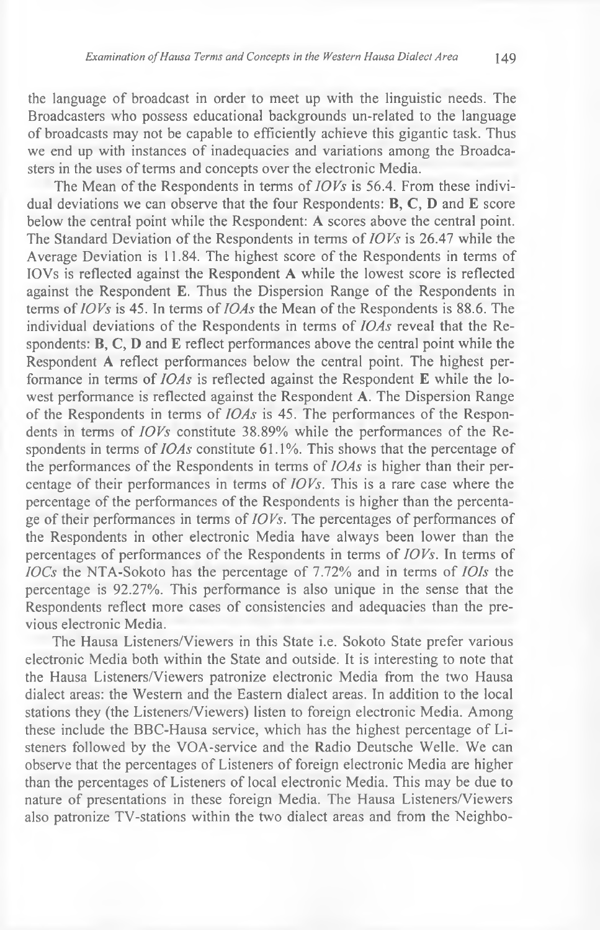the language of broadcast in order to meet up with the linguistic needs. The Broadcasters who possess educational backgrounds un-related to the language of broadcasts may not be capable to efficiently achieve this gigantic task. Thus we end up with instances of inadequacies and variations among the Broadcasters in the uses of terms and concepts over the electronic Media.

The Mean of the Respondents in terms of *IOVs* is 56.4. From these individual deviations we can observe that the four Respondents: B, C, D and E score below the central point while the Respondent: A scores above the central point. The Standard Deviation of the Respondents in terms of *IOVs* is 26.47 while the Average Deviation is 11.84. The highest score of the Respondents in terms of IOVs is reflected against the Respondent A while the lowest score is reflected against the Respondent E. Thus the Dispersion Range of the Respondents in terms of *IOVs* is 45. In terms of *IOAs* the Mean of the Respondents is 88.6. The individual deviations of the Respondents in terms of *IOAs* reveal that the Respondents: B, C, D and E reflect performances above the central point while the Respondent A reflect performances below the central point. The highest performance in terms of *IOAs* is reflected against the Respondent E while the lowest performance is reflected against the Respondent A. The Dispersion Range of the Respondents in terms of *IOAs* is 45. The performances of the Respondents in terms of *IOVs* constitute 38.89% while the performances of the Respondents in terms of *IOAs* constitute 61.1%. This shows that the percentage of the performances of the Respondents in terms of *IOAs* is higher than their percentage of their performances in terms of *IOVs.* This is a rare case where the percentage of the performances of the Respondents is higher than the percentage of their performances in terms of *IOVs.* The percentages of performances of the Respondents in other electronic Media have always been lower than the percentages of performances of the Respondents in terms of *IOVs.* In terms of *IOCs* the NTA-Sokoto has the percentage of 7.72% and in terms of *IOIs* the percentage is 92.27%. This performance is also unique in the sense that the Respondents reflect more cases of consistencies and adequacies than the previous electronic Media.

The Hausa Listeners/Viewers in this State i.e. Sokoto State prefer various electronic Media both within the State and outside. It is interesting to note that the Hausa Listeners/Viewers patronize electronic Media from the two Hausa dialect areas: the Western and the Eastern dialect areas. In addition to the local stations they (the Listeners/Viewers) listen to foreign electronic Media. Among these include the BBC-Hausa service, which has the highest percentage of Listeners followed by the VOA-service and the Radio Deutsche Welle. We can observe that the percentages of Listeners of foreign electronic Media are higher than the percentages of Listeners of local electronic Media. This may be due to nature of presentations in these foreign Media. The Hausa Listeners/Viewers also patronize TV-stations within the two dialect areas and from the Neighbo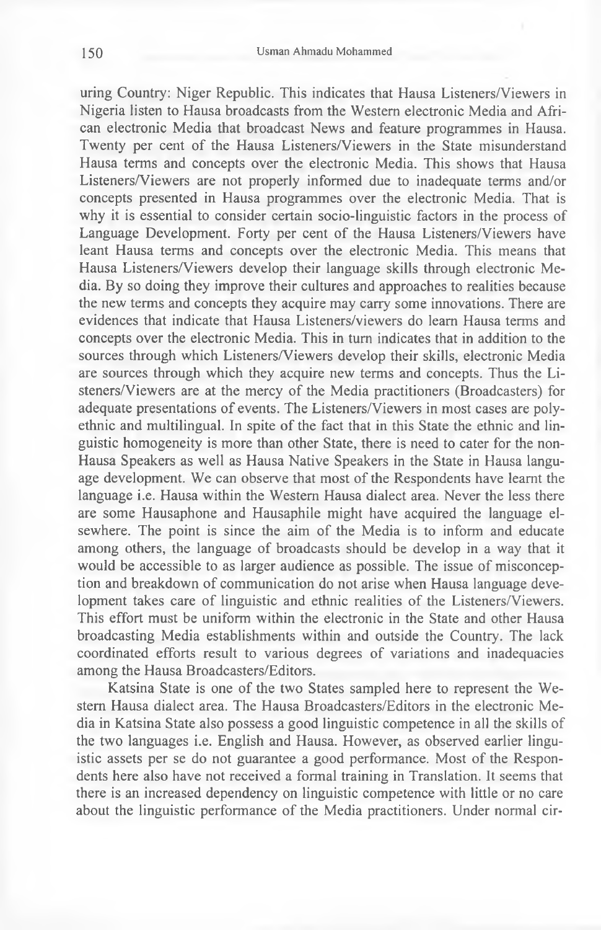uring Country: Niger Republic. This indicates that Hausa Listeners/Viewers in Nigeria listen to Hausa broadcasts from the Western electronic Media and African electronic Media that broadcast News and feature programmes in Hausa. Twenty per cent of the Hausa Listeners/Viewers in the State misunderstand Hausa terms and concepts over the electronic Media. This shows that Hausa Listeners/Viewers are not properly informed due to inadequate terms and/or concepts presented in Hausa programmes over the electronic Media. That is why it is essential to consider certain socio-linguistic factors in the process of Language Development. Forty per cent of the Hausa Listeners/Viewers have leant Hausa terms and concepts over the electronic Media. This means that Hausa Listeners/Viewers develop their language skills through electronic Media. By so doing they improve their cultures and approaches to realities because the new terms and concepts they acquire may carry some innovations. There are evidences that indicate that Hausa Listeners/viewers do learn Hausa terms and concepts over the electronic Media. This in turn indicates that in addition to the sources through which Listeners/Viewers develop their skills, electronic Media are sources through which they acquire new terms and concepts. Thus the Listeners/Viewers are at the mercy of the Media practitioners (Broadcasters) for adequate presentations of events. The Listeners/Viewers in most cases are polyethnic and multilingual. In spite of the fact that in this State the ethnic and linguistic homogeneity is more than other State, there is need to cater for the non-Hausa Speakers as well as Hausa Native Speakers in the State in Hausa language development. We can observe that most of the Respondents have learnt the language i.e. Hausa within the Western Hausa dialect area. Never the less there are some Hausaphone and Hausaphile might have acquired the language elsewhere. The point is since the aim of the Media is to inform and educate among others, the language of broadcasts should be develop in a way that it would be accessible to as larger audience as possible. The issue of misconception and breakdown of communication do not arise when Hausa language development takes care of linguistic and ethnic realities of the Listeners/Viewers. This effort must be uniform within the electronic in the State and other Hausa broadcasting Media establishments within and outside the Country. The lack coordinated efforts result to various degrees of variations and inadequacies among the Hausa Broadcasters/Editors.

Katsina State is one of the two States sampled here to represent the Western Hausa dialect area. The Hausa Broadcasters/Editors in the electronic Media in Katsina State also possess a good linguistic competence in all the skills of the two languages i.e. English and Hausa. However, as observed earlier linguistic assets per se do not guarantee a good performance. Most of the Respondents here also have not received a formal training in Translation. It seems that there is an increased dependency on linguistic competence with little or no care about the linguistic performance of the Media practitioners. Under normal cir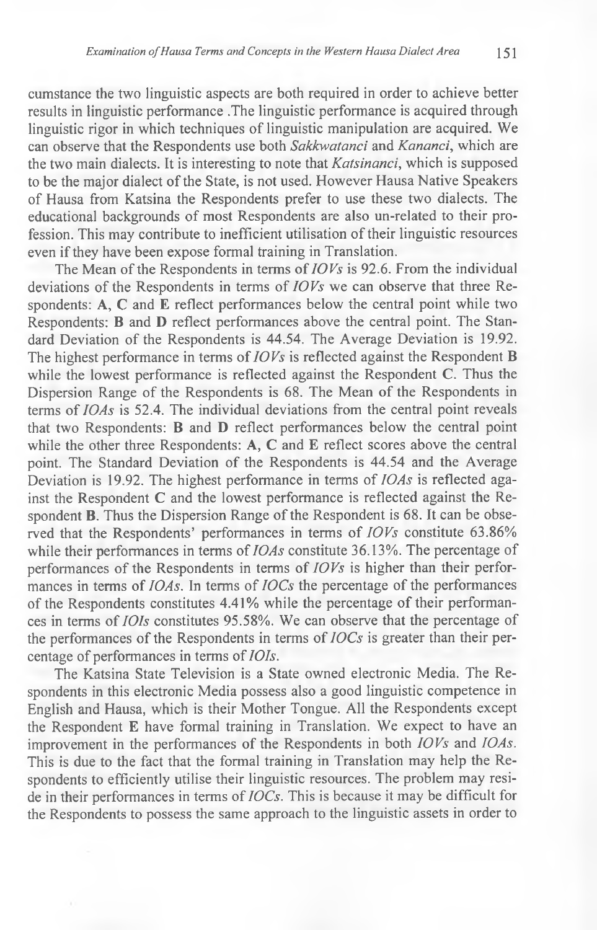cumstance the two linguistic aspects are both required in order to achieve better results in linguistic performance .The linguistic performance is acquired through linguistic rigor in which techniques of linguistic manipulation are acquired. We can observe that the Respondents use both *Sakkwatanci* and *Kananci,* which are the two main dialects. It is interesting to note that *Katsinanci,* which is supposed to be the major dialect of the State, is not used. However Hausa Native Speakers of Hausa from Katsina the Respondents prefer to use these two dialects. The educational backgrounds of most Respondents are also un-related to their profession. This may contribute to inefficient utilisation of their linguistic resources even if they have been expose formal training in Translation.

The Mean of the Respondents in terms of *10 Vs* is 92.6. From the individual deviations of the Respondents in terms of *10 Vs* we can observe that three Respondents: A, C and E reflect performances below the central point while two Respondents: B and D reflect performances above the central point. The Standard Deviation of the Respondents is 44.54. The Average Deviation is 19.92. The highest performance in terms of *10 Vs* is reflected against the Respondent B while the lowest performance is reflected against the Respondent C. Thus the Dispersion Range of the Respondents is 68. The Mean of the Respondents in terms of *IOAs* is 52.4. The individual deviations from the central point reveals that two Respondents: B and D reflect performances below the central point while the other three Respondents:  $A, C$  and  $E$  reflect scores above the central point. The Standard Deviation of the Respondents is 44.54 and the Average Deviation is 19.92. The highest performance in terms of *IOAs* is reflected against the Respondent C and the lowest performance is reflected against the Respondent B. Thus the Dispersion Range of the Respondent is 68. It can be observed that the Respondents' performances in terms of *IOVs* constitute 63.86% while their performances in terms of *IOAs* constitute 36.13%. The percentage of performances of the Respondents in terms of *IOVs* is higher than their performances in terms of *IOAs.* In terms of *IOCs* the percentage of the performances of the Respondents constitutes 4.41% while the percentage of their performances in terms of *IOIs* constitutes 95.58%. We can observe that the percentage of the performances of the Respondents in terms of *IOCs* is greater than their percentage of performances in terms of *IOIs.*

The Katsina State Television is a State owned electronic Media. The Respondents in this electronic Media possess also a good linguistic competence in English and Hausa, which is their Mother Tongue. All the Respondents except the Respondent E have formal training in Translation. We expect to have an improvement in the performances of the Respondents in both *IOVs* and *IOAs.* This is due to the fact that the formal training in Translation may help the Respondents to efficiently utilise their linguistic resources. The problem may reside in their performances in terms of *IOCs.* This is because it may be difficult for the Respondents to possess the same approach to the linguistic assets in order to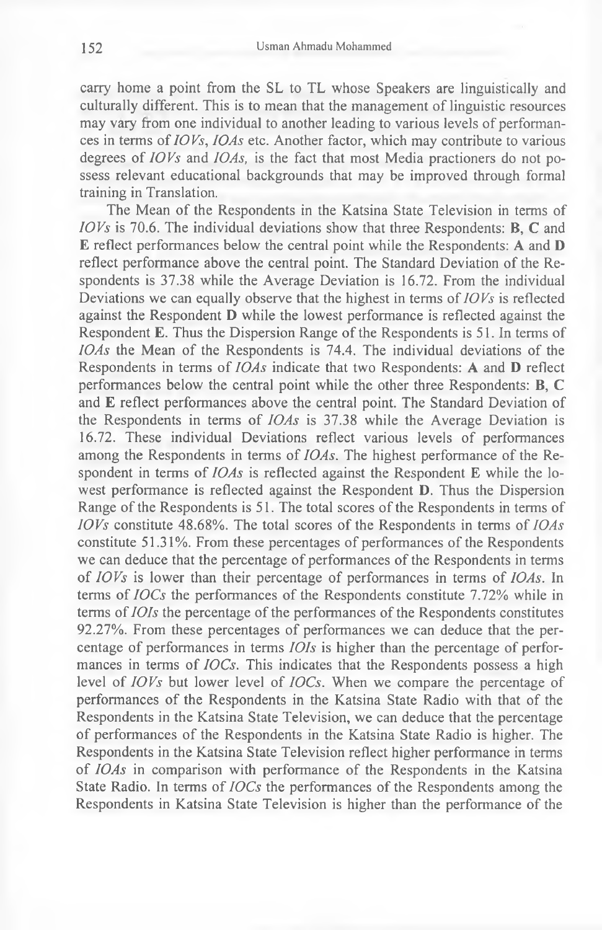carry home a point from the SL to TL whose Speakers are linguistically and culturally different. This is to mean that the management of linguistic resources may vary from one individual to another leading to various levels of performances in terms of *10 Vs, 10As* etc. Another factor, which may contribute to various degrees of *10 Vs* and *IOAs,* is the fact that most Media practioners do not possess relevant educational backgrounds that may be improved through formal training in Translation.

The Mean of the Respondents in the Katsina State Television in terms of *IOVs* is 70.6. The individual deviations show that three Respondents: **B**, **C** and E reflect performances below the central point while the Respondents: A and D reflect performance above the central point. The Standard Deviation of the Respondents is 37.38 while the Average Deviation is 16.72. From the individual Deviations we can equally observe that the highest in terms of *IOVs* is reflected against the Respondent D while the lowest performance is reflected against the Respondent E. Thus the Dispersion Range of the Respondents is 51. In terms of *IOAs* the Mean of the Respondents is 74.4. The individual deviations of the Respondents in terms of *IOAs* indicate that two Respondents: A and D reflect performances below the central point while the other three Respondents: B, C and E reflect performances above the central point. The Standard Deviation of the Respondents in terms of *IOAs* is 37.38 while the Average Deviation is 16.72. These individual Deviations reflect various levels of performances among the Respondents in terms of *IOAs.* The highest performance of the Respondent in terms of *IOAs* is reflected against the Respondent E while the lowest performance is reflected against the Respondent **D**. Thus the Dispersion Range of the Respondents is 51. The total scores of the Respondents in terms of *IOVs* constitute 48.68%. The total scores of the Respondents in terms of *IOAs* constitute 51.31%. From these percentages of performances of the Respondents we can deduce that the percentage of performances of the Respondents in terms of *IOVs* is lower than their percentage of performances in terms of *IOAs.* In terms of *IOCs* the performances of the Respondents constitute 7.72% while in terms of *IOIs* the percentage of the performances of the Respondents constitutes 92.27%. From these percentages of performances we can deduce that the percentage of performances in terms *IOIs* is higher than the percentage of performances in terms of *IOCs.* This indicates that the Respondents possess a high level of *IOVs* but lower level of *IOCs.* When we compare the percentage of performances of the Respondents in the Katsina State Radio with that of the Respondents in the Katsina State Television, we can deduce that the percentage of performances of the Respondents in the Katsina State Radio is higher. The Respondents in the Katsina State Television reflect higher performance in terms of *IOAs* in comparison with performance of the Respondents in the Katsina State Radio. In terms of *IOCs* the performances of the Respondents among the Respondents in Katsina State Television is higher than the performance of the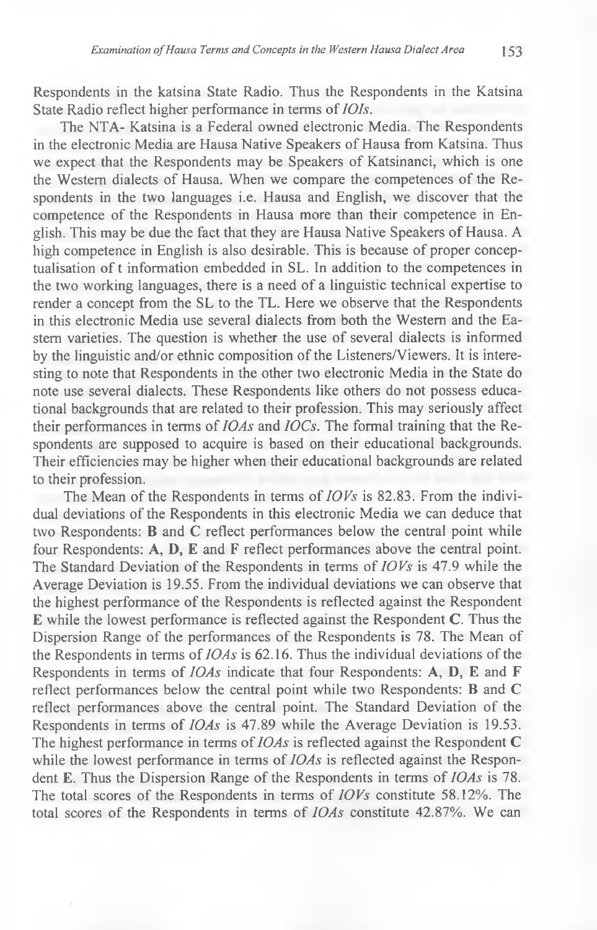Respondents in the katsina State Radio. Thus the Respondents in the Katsina State Radio reflect higher performance in terms of *IOIs.*

The NTA- Katsina is a Federal owned electronic Media. The Respondents in the electronic Media are Hausa Native Speakers of Hausa from Katsina. Thus we expect that the Respondents may be Speakers of Katsinanci, which is one the Western dialects of Hausa. When we compare the competences of the Respondents in the two languages i.e. Hausa and English, we discover that the competence of the Respondents in Hausa more than their competence in English. This may be due the fact that they are Hausa Native Speakers of Hausa. A high competence in English is also desirable. This is because of proper conceptualisation of t information embedded in SL. In addition to the competences in the two working languages, there is a need of a linguistic technical expertise to render a concept from the SL to the TL. Here we observe that the Respondents in this electronic Media use several dialects from both the Western and the Eastern varieties. The question is whether the use of several dialects is informed by the linguistic and/or ethnic composition of the Listeners/Viewers. It is interesting to note that Respondents in the other two electronic Media in the State do note use several dialects. These Respondents like others do not possess educational backgrounds that are related to their profession. This may seriously affect their performances in terms of *IOAs* and *IOCs.* The formal training that the Respondents are supposed to acquire is based on their educational backgrounds. Their efficiencies may be higher when their educational backgrounds are related to their profession.

The Mean of the Respondents in terms of *IOVs* is 82.83. From the individual deviations of the Respondents in this electronic Media we can deduce that two Respondents: B and C reflect performances below the central point while four Respondents: A, D, E and F reflect performances above the central point. The Standard Deviation of the Respondents in terms of *IOVs* is 47.9 while the Average Deviation is 19.55. From the individual deviations we can observe that the highest performance of the Respondents is reflected against the Respondent E while the lowest performance is reflected against the Respondent C. Thus the Dispersion Range of the performances of the Respondents is 78. The Mean of the Respondents in terms of *IOAs* is 62.16. Thus the individual deviations of the Respondents in terms of *IOAs* indicate that four Respondents: A, D, E and F reflect performances below the central point while two Respondents: B and C reflect performances above the central point. The Standard Deviation of the Respondents in terms of *IOAs* is 47.89 while the Average Deviation is 19.53. The highest performance in terms of *IOAs* is reflected against the Respondent C while the lowest performance in terms of *IOAs* is reflected against the Respondent E. Thus the Dispersion Range of the Respondents in terms of *IOAs* is 78. The total scores of the Respondents in terms of *IOVs* constitute 58.12%. The total scores of the Respondents in terms of *IOAs* constitute 42.87%. We can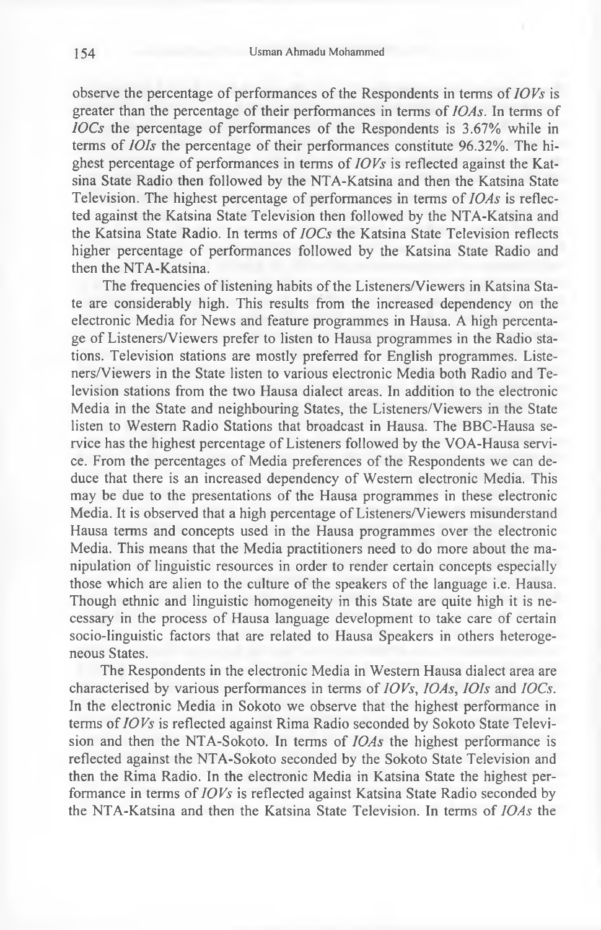observe the percentage of performances of the Respondents in terms of *IOVs* is greater than the percentage of their performances in terms of *IOAs.* In terms of *IOCs* the percentage of performances of the Respondents is 3.67% while in terms of *IOIs* the percentage of their performances constitute 96.32%. The highest percentage of performances in terms of *IOVs* is reflected against the Katsina State Radio then followed by the NTA-Katsina and then the Katsina State Television. The highest percentage of performances in terms of *IOAs* is reflected against the Katsina State Television then followed by the NTA-Katsina and the Katsina State Radio. In terms of *IOCs* the Katsina State Television reflects higher percentage of performances followed by the Katsina State Radio and then the NTA-Katsina.

The frequencies of listening habits of the Listeners/Viewers in Katsina State are considerably high. This results from the increased dependency on the electronic Media for News and feature programmes in Hausa. A high percentage of Listeners/Viewers prefer to listen to Hausa programmes in the Radio stations. Television stations are mostly preferred for English programmes. Listeners/Viewers in the State listen to various electronic Media both Radio and Television stations from the two Hausa dialect areas. In addition to the electronic Media in the State and neighbouring States, the Listeners/Viewers in the State listen to Western Radio Stations that broadcast in Hausa. The BBC-Hausa service has the highest percentage of Listeners followed by the VOA-Hausa service. From the percentages of Media preferences of the Respondents we can deduce that there is an increased dependency of Western electronic Media. This may be due to the presentations of the Hausa programmes in these electronic Media. It is observed that a high percentage of Listeners/Viewers misunderstand Hausa terms and concepts used in the Hausa programmes over the electronic Media. This means that the Media practitioners need to do more about the manipulation of linguistic resources in order to render certain concepts especially those which are alien to the culture of the speakers of the language i.e. Hausa. Though ethnic and linguistic homogeneity in this State are quite high it is necessary in the process of Hausa language development to take care of certain socio-linguistic factors that are related to Hausa Speakers in others heterogeneous States.

The Respondents in the electronic Media in Western Hausa dialect area are characterised by various performances in terms of *IOVs, IOAs, IOIs* and *IOCs.* In the electronic Media in Sokoto we observe that the highest performance in terms of *IOVs* is reflected against Rima Radio seconded by Sokoto State Television and then the NTA-Sokoto. In terms of *IOAs* the highest performance is reflected against the NTA-Sokoto seconded by the Sokoto State Television and then the Rima Radio. In the electronic Media in Katsina State the highest performance in terms of *IOVs* is reflected against Katsina State Radio seconded by the NTA-Katsina and then the Katsina State Television. In terms of *IOAs* the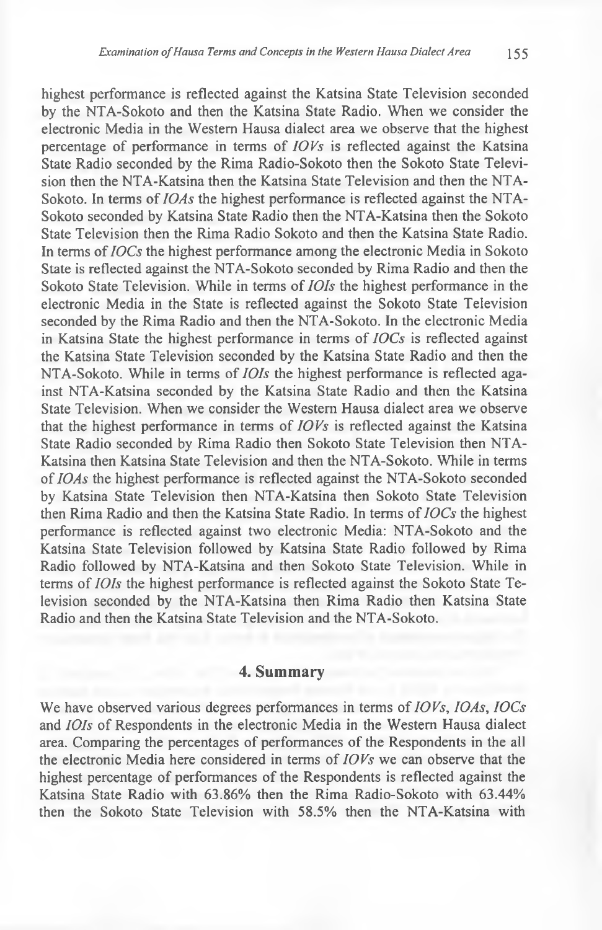highest performance is reflected against the Katsina State Television seconded by the NTA-Sokoto and then the Katsina State Radio. When we consider the electronic Media in the Western Hausa dialect area we observe that the highest percentage of performance in terms of *IOVs* is reflected against the Katsina State Radio seconded by the Rima Radio-Sokoto then the Sokoto State Television then the NTA-Katsina then the Katsina State Television and then the NTA-Sokoto. In terms of *IOAs* the highest performance is reflected against the NTA-Sokoto seconded by Katsina State Radio then the NTA-Katsina then the Sokoto State Television then the Rima Radio Sokoto and then the Katsina State Radio. In terms of *IOCs* the highest performance among the electronic Media in Sokoto State is reflected against the NTA-Sokoto seconded by Rima Radio and then the Sokoto State Television. While in terms of *IOIs* the highest performance in the electronic Media in the State is reflected against the Sokoto State Television seconded by the Rima Radio and then the NTA-Sokoto. In the electronic Media in Katsina State the highest performance in terms of *IOCs* is reflected against the Katsina State Television seconded by the Katsina State Radio and then the NTA-Sokoto. While in terms of *IOIs* the highest performance is reflected against NTA-Katsina seconded by the Katsina State Radio and then the Katsina State Television. When we consider the Western Hausa dialect area we observe that the highest performance in terms of *IOVs* is reflected against the Katsina State Radio seconded by Rima Radio then Sokoto State Television then NTA-Katsina then Katsina State Television and then the NTA-Sokoto. While in terms of *IOAs* the highest performance is reflected against the NTA-Sokoto seconded by Katsina State Television then NTA-Katsina then Sokoto State Television then Rima Radio and then the Katsina State Radio. In terms of *IOCs* the highest performance is reflected against two electronic Media: NTA-Sokoto and the Katsina State Television followed by Katsina State Radio followed by Rima Radio followed by NTA-Katsina and then Sokoto State Television. While in terms of *IOIs* the highest performance is reflected against the Sokoto State Television seconded by the NTA-Katsina then Rima Radio then Katsina State Radio and then the Katsina State Television and the NTA-Sokoto.

#### **4. Summary**

We have observed various degrees performances in terms of *IOVs, IOAs, IOCs* and *IOIs* of Respondents in the electronic Media in the Western Hausa dialect area. Comparing the percentages of performances of the Respondents in the all the electronic Media here considered in terms of *IOVs* we can observe that the highest percentage of performances of the Respondents is reflected against the Katsina State Radio with 63.86% then the Rima Radio-Sokoto with 63.44% then the Sokoto State Television with 58.5% then the NTA-Katsina with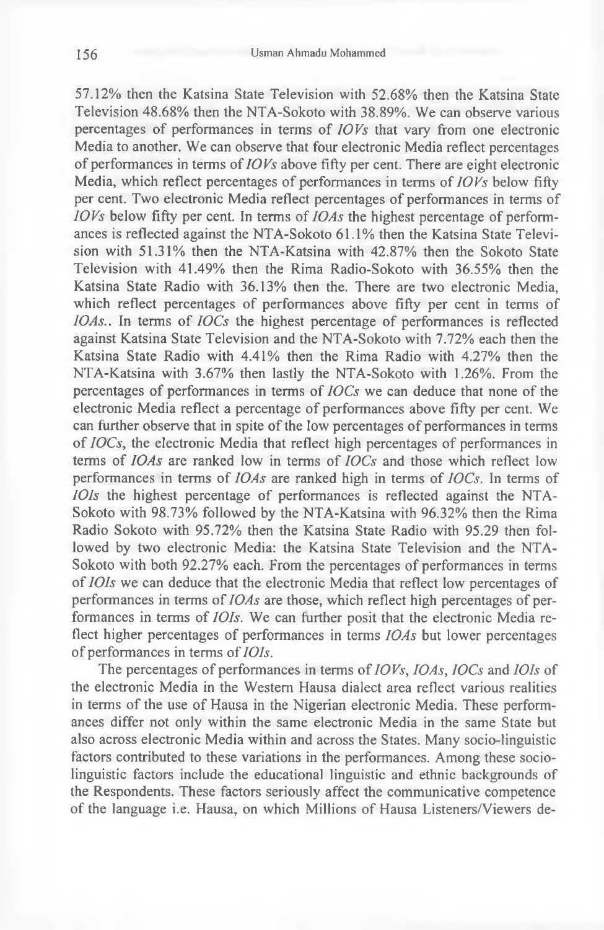57.12% then the Katsina State Television with 52.68% then the Katsina State Television 48.68% then the NTA-Sokoto with 38.89%. We can observe various percentages of performances in terms of *IOVs* that vary from one electronic Media to another. We can observe that four electronic Media reflect percentages of performances in terms of *IOVs* above fifty per cent. There are eight electronic Media, which reflect percentages of performances in terms of *IOVs* below fifty per cent. Two electronic Media reflect percentages of performances in terms of *IOVs* below fifty per cent. In terms of *10As* the highest percentage of performances is reflected against the NTA-Sokoto 61.1% then the Katsina State Television with 51.31% then the NTA-Katsina with 42.87% then the Sokoto State Television with 41.49% then the Rima Radio-Sokoto with 36.55% then the Katsina State Radio with 36.13% then the. There are two electronic Media, which reflect percentages of performances above fifty per cent in terms of *IOAs..* In terms of *IOCs* the highest percentage of performances is reflected against Katsina State Television and the NTA-Sokoto with 7.72% each then the Katsina State Radio with 4.41% then the Rima Radio with 4.27% then the NTA-Katsina with 3.67% then lastly the NTA-Sokoto with 1.26%. From the percentages of performances in terms of *IOCs* we can deduce that none of the electronic Media reflect a percentage of performances above fifty per cent. We can further observe that in spite of the low percentages of performances in terms of *IOCs*, the electronic Media that reflect high percentages of performances in terms of *IOAs* are ranked low in terms of *IOCs* and those which reflect low performances in terms of *IOAs* are ranked high in terms of *IOCs.* In terms of *IOIs* the highest percentage of performances is reflected against the NTA-Sokoto with 98.73% followed by the NTA-Katsina with 96.32% then the Rima Radio Sokoto with 95.72% then the Katsina State Radio with 95.29 then followed by two electronic Media: the Katsina State Television and the NTA-Sokoto with both 92.27% each. From the percentages of performances in terms of *IOIs* we can deduce that the electronic Media that reflect low percentages of performances in terms of *IOAs* are those, which reflect high percentages of performances in terms of *IOIs.* We can further posit that the electronic Media reflect higher percentages of performances in terms *IOAs* but lower percentages of performances in terms of *IOIs.*

The percentages of performances in terms of *IOVs, IOAs, IOCs* and *IOIs* of the electronic Media in the Western Hausa dialect area reflect various realities in terms of the use of Hausa in the Nigerian electronic Media. These performances differ not only within the same electronic Media in the same State but also across electronic Media within and across the States. Many socio-linguistic factors contributed to these variations in the performances. Among these sociolinguistic factors include the educational linguistic and ethnic backgrounds of the Respondents. These factors seriously affect the communicative competence of the language i.e. Hausa, on which Millions of Hausa Listeners/Viewers de